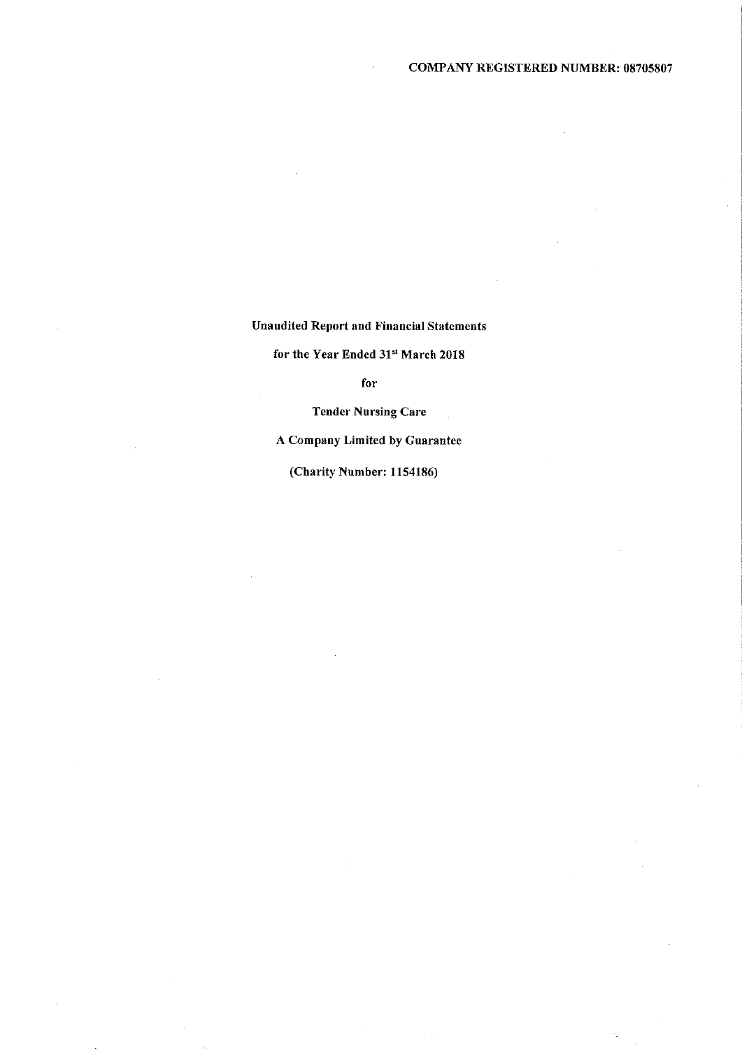Unaudited Report and Einaucial Statements

for the Year Ended 31st March 2018

for

Tender Nursing Care

A Company Limited by Guarantee

(Charity Number: 1154186)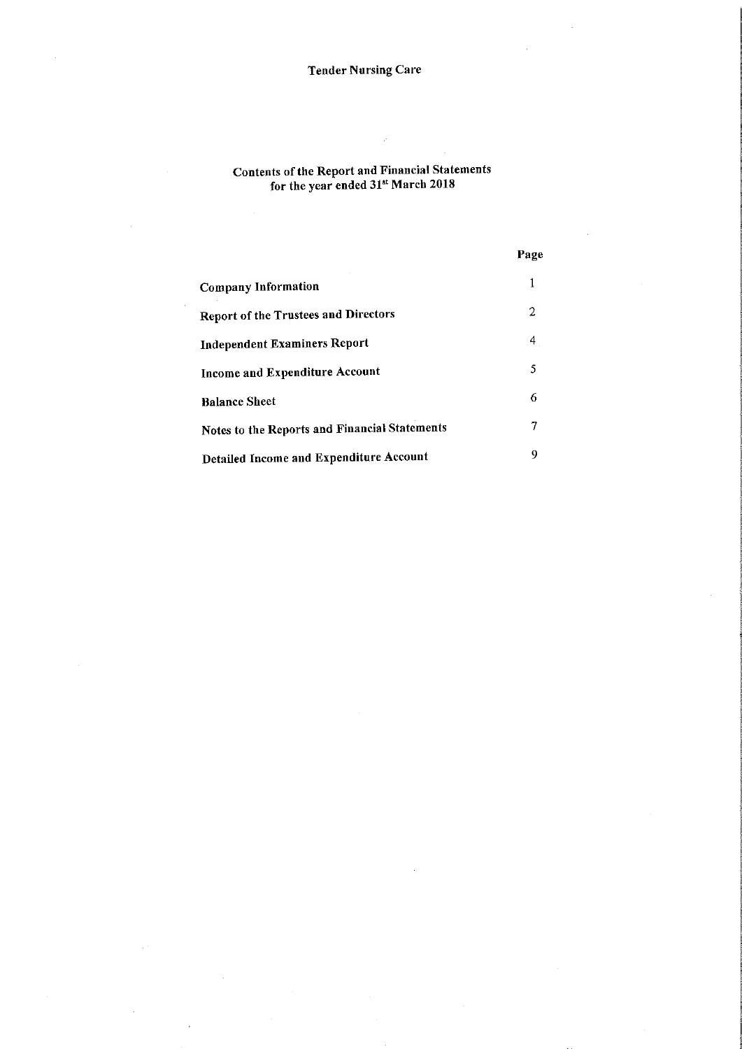#### Contents of the Report and Financial Statement for the year ended 31st March 2018

|                                                      | Page |
|------------------------------------------------------|------|
| <b>Company Information</b>                           |      |
| <b>Report of the Trustees and Directors</b>          | 2    |
| <b>Independent Examiners Report</b>                  | 4    |
| Income and Expenditure Account                       | 5    |
| <b>Balance Sheet</b>                                 | 6    |
| <b>Notes to the Reports and Financial Statements</b> |      |
| Detailed Income and Expenditure Account              | 9    |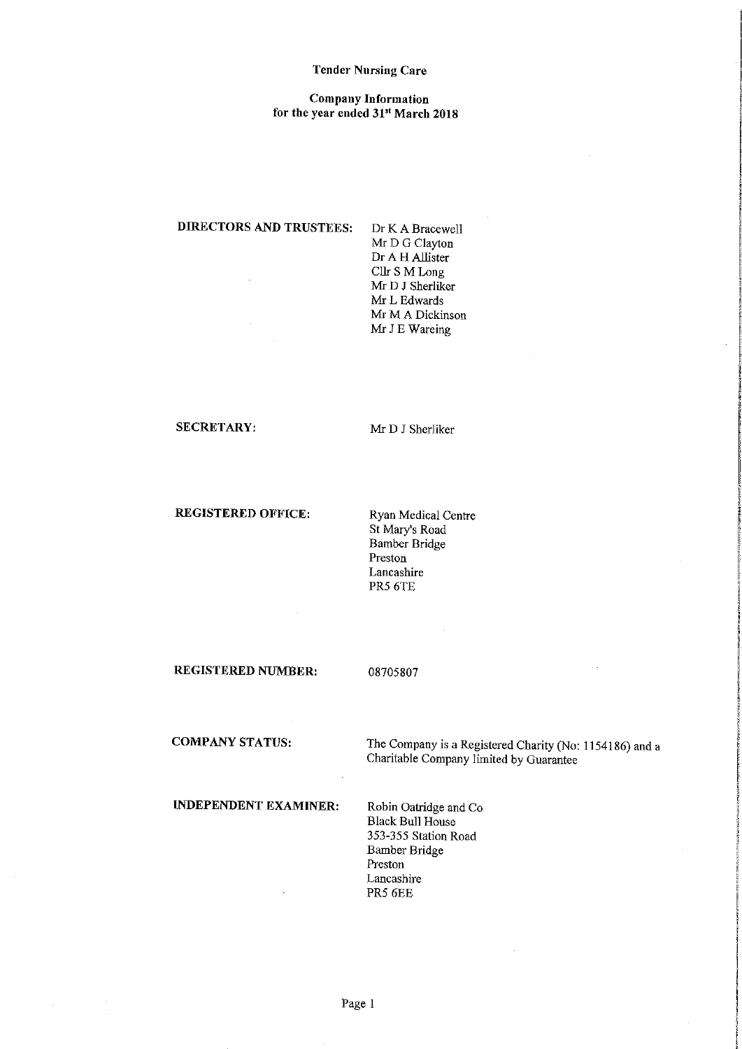#### Company Information for the year ended 31st March 2018

# DIRECTORS AND TRUSTEES: Dr K A Bracewell

Mr D G Clayton Dr A H Allister Cllr S M Long Mr D J Sherliker Mr L Edwards Mr M A Dickinson Mr J E Wareing

### SECRETARY: Mr D J Sherliker

# REGISTERED OFFICE: Ryan Medical Centre

St Mary's Road Bamber Bridge Preston Lancashire PR5 6TE

REGISTERED NUMBER: 08705807

COMPANY STATUS: The Company is a Registered Charity (No: 1154186) and a Charitable Company limited by Guarantee

# INDEPENDENT EXAMINER: Robin Oatridge and Co

Black Bull House 353-355 Station Road Bamber Bridge Preston Lancashire PR5 6EE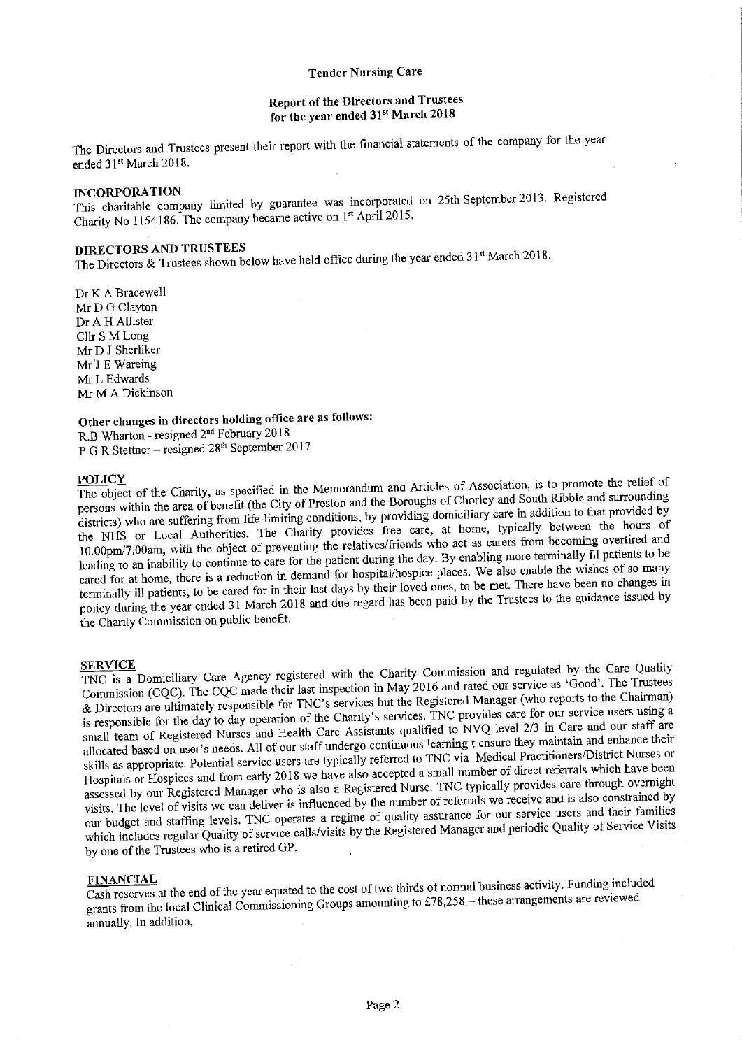### Report of the Directors and Trustees for the year ended 31st March 2018

The Directors and Trustees present their report with the financial statements of the company for the year ended 31<sup>st</sup> March 2018.

INCORPORATION<br>This charitable company limited by guarantee was incorporated on 25th September 2013. Registere Charity No 1154186. The company became active on 1st April 2015.

DIRECTORS AND TRUSTEES<br>The Directors & Trustees shown below have held office during the year ended 31st March 2018.

Dr K A Bracewell Mr D G Clayton Dr A H Allister Cllr S M Long Mr D J Sherliker Mr'J E Wareing Mr L Edwards Mr M A Dickinson

# Other changes in directors holding office are as follows:

R.B Wharton - resigned 2<sup>nd</sup> February 2018 P G R Stettner – resigned 28<sup>th</sup> September 2017

**POLICY**<br>The object of the Charity, as specified in the Memorandum and Articles of Association, is to promote the relief of persons within the area of benefit (the City of Preston and the Boroughs of Chorley and South Ribble and surrounding districts) who are suffering from life-limiting conditions, by providing domiciliary care in addition to that provided by the NHS or Local Authorities. The Charity provides free care, at home, typically between the hours of 10.00pm/7. 00am, with the object of preventing the relatives/fiiends who act as carers fiom becoming overtired and leading to an inability to continue to care for the patient during the day. By enabling more terminally ill patients to be cared for at home, there is <sup>a</sup> reduction in demand for hospital/hospice places. We also enable the wishes of so many terminally ill patients, to be cared for in their last days by their loved ones, to be met. There have been no changes in policy during the year ended <sup>31</sup> March <sup>2018</sup> and due regard has been paid by the Trustees to the guidance issued by the Charity Commission on public benefit.

**SERVICE**<br>TNC is a Domiciliary Care Agency registered with the Charity Commission and regulated by the Care Qualit Commission (CQC). The CQC made their last inspection in May <sup>2016</sup> and rated our service as 'Good'. The Trustees /k Directors are ulthnately responsible for TNC's services but the Registered Manager (who reports to the Chairman) is responsible for the day to day operation of the Charity's services. TNC provides care for our service users using <sup>a</sup> small team of Registered Nurses and Health Care Assistants qualified to NVQ level 2/3 in Care and our staff are allocated based on user's needs. All of our staff undergo continuous learning <sup>t</sup> ensure they maintain and enhance their skills as appropriate. Potential service users are typically referred to TNC via Medical Practitioners/District Nurses or Hospitals or Hospices and from early 2018 we have also accepted a small number of direct referrals which have been assessed by our Registered Manager who is also a Registered Nurse. TNC typically provides care through overnight visits. The level of visits we can deliver is influenced by the number of referrals we receive and is also constrained by our budget and staffing levels. TNC operates <sup>a</sup> regime of quality assurance for our service users and their families which includes regular Quality of service calls/visits by the Registered Manager and periodic Quality of Service Visits by one of the Trustees who is a retired GP.

FINANCIAL<br>Cash reserves at the end of the year equated to the cost of two thirds of normal business activity. Funding include grants from the local Clinical Commissioning Groups amounting to £78,258 - these arrangements are reviewed annually. In addition,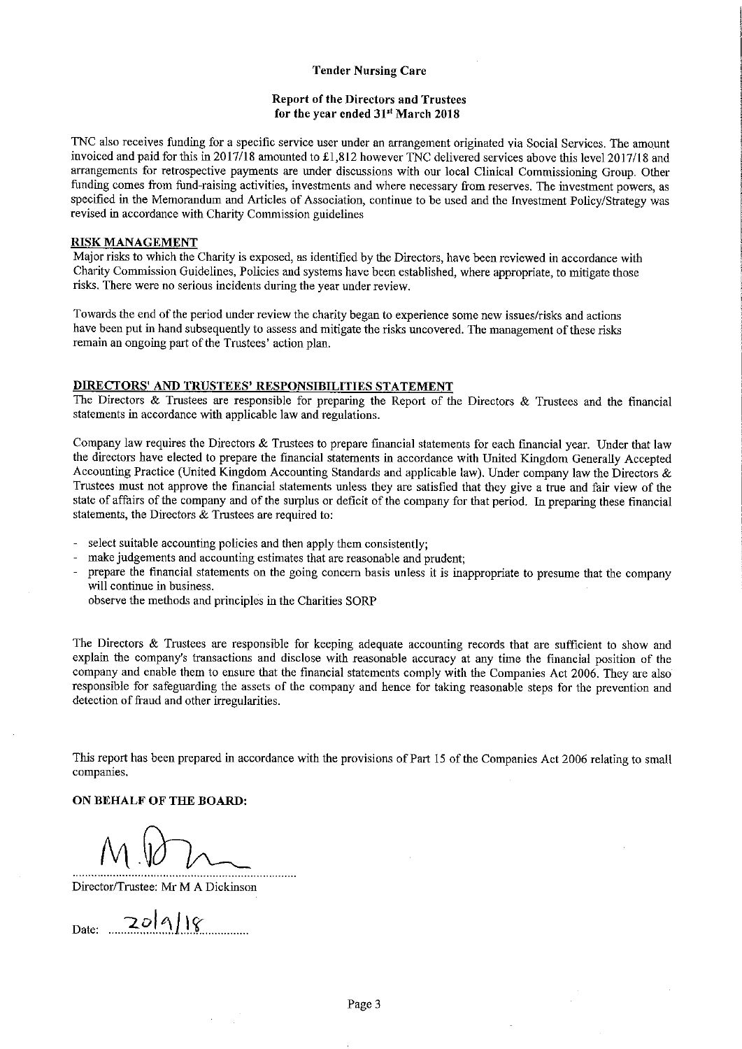#### Report of the Directors and Trustees for the year ended 31st March 2018

TNC also receives funding for a specific service user under an arrangement originated via Social Services. The amount invoiced and paid for this in 2017/18 amounted to  $£1,812$  however TNC delivered services above this level 2017/18 and arrangements for retrospective payments are under discussions with our local Clinical Commissioning Group. Other funding comes from fund-raising activities, investments and where necessary fiom reserves. The investment powers, as specified in the Memorandum and Articles of Association, continue to be used and the Investment Policy/Strategy was revised in accordance with Charity Commission guidelines

#### RISK MANAGEMENT

Major risks to which the Charity is exposed, as identified by the Directors, have been reviewed in accordance with Charity Commission Guidelines, Policies and systems have been established, where appropriate, to mitigate those risks. There were no serious incidents during the year under review.

Towards the end of the period under review the charity began to experience some new issues/risks and actions have been put in hand subsequently to assess and mitigate the risks uncovered. The management of these risks remain an ongoing part of the Trustees' action plan.

#### DIRECTORS' AND TRUSTEES' RESPONSIBILITIES STATEMENT

The Directors & Trustees are responsible for preparing the Report of the Directors & Trustees and the financial statements in accordance with applicable law and regulations.

Company law requires the Directors & Trustees to prepare financial statements for each financial year. Under that law the directors have elected to prepare the financial statements in accordance with United Kingdom Generally Accepted Accounting Practice (United Kingdom Accounting Standards and applicable law). Under company law the Directors & Trustees must not approve the financial statements unless they are satisfied that they give a true and fair view of the state of affairs of the company and of the surplus or deficit of the company for that period. In preparing these financial statements, the Directors & Trustees are required to:

- select suitable accounting policies and then apply them consistently;
- make judgements and accounting estimates that are reasonable and prudent;
- prepare the financial statements on the going concern basis unless it is inappropriate to presume that the company will continue in business.
	- observe the methods and principles in the Charities SORP

The Directors & Trustees are responsible for keeping adequate accounting records that are sufficient to show and explain the company's transactions and disclose with reasonable accuracy at any time the financial position of the company and enable them to ensure that the financial statements comply with the Companies Act 2006. They are also responsible for safeguarding the assets of the company and hence for taking reasonable steps for the prevention and detection of fiaud and other irregularities.

This report has been prepared in accordance with the provisions of Part 15 of the Companies Act 2006 relating to small companies.

### ON BEHALF OF THE BOARD:

Director/Trustee: Mr M A Dickinson

 $_{\text{Date:}}$  20/9/18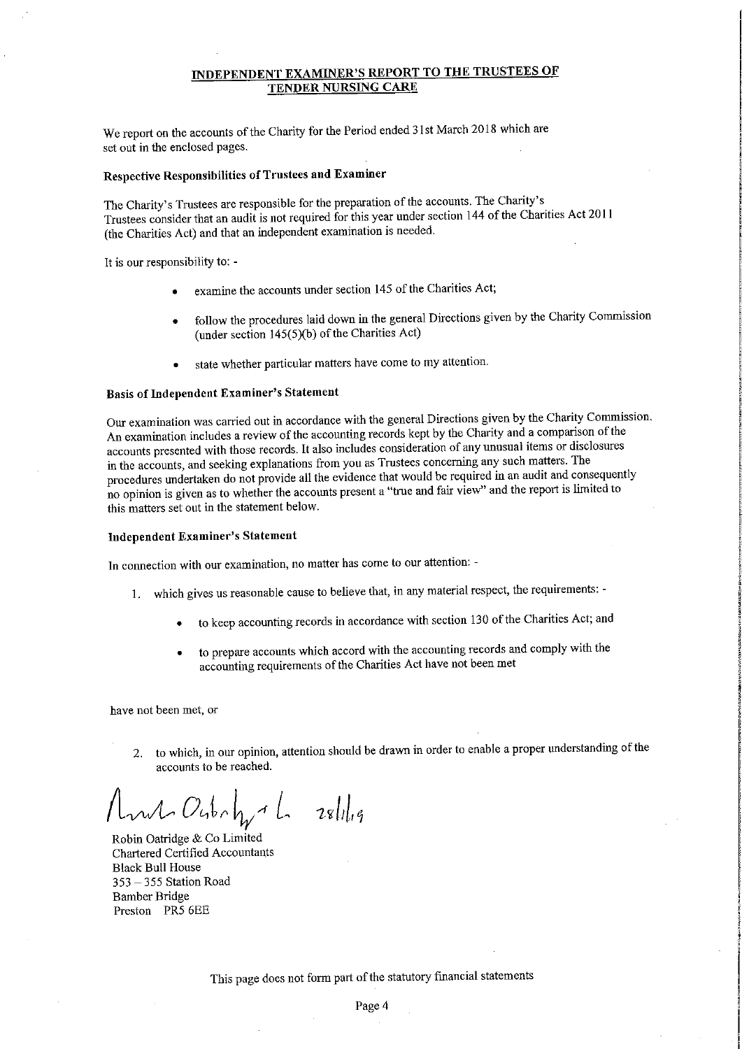## INDEPENDENT EXAMINER'S REPORT TO THE TRUSTEES OF TENDER NURSING CARE

We report on the accounts of the Charity for the Period ended 31st March 2018 which are set out in the enclosed pages.

### Respective Responsibilities of Trustees and Examiner

The Charity's Trustees are responsible for the preparation of the accounts. The Charity's Trustees consider that an audit is not required for this year under section <sup>144</sup> of the Charities Act 2011 (the Charities Act) and that an independent examination is needed.

It is our responsibility to:

- examine the accounts under section 145 of the Charities Act;
- follow the procedures laid down in the general Directions given by the Charity Commission (under section  $145(5)(b)$  of the Charities Act)
- state whether particular matters have come to my attention.

# Basis of Independent Examiner's Statement

Our examination was carried out in accordance with the general Directions given by the Charity Commission. An examination includes a review of the accounting records kept by the Charity and a comparison of the accounts presented with those records. It also includes consideration of any unusual items or disclosures in the accounts, and seeking explanations fiom you as Trustees concerning any such matters. The procedures undertaken do not provide all the evidence that would be required in an audit and consequently no opinion is given as to whether the accounts present <sup>a</sup> "true and fair view" and the report is limited to this matters set out in the statement below,

### Independent Examiner's Statement

In connection with our examination, no matter has come to our attention: -

- 1, which gives us reasonable cause to believe that, in any material respect, the requirements:
	- to keep accounting records in accordance with section 130 ofthe Charities Act; and
	- to prepare accounts which accord with the accounting records and comply with the accounting requirements of the Charities Act have not been met

have not been met, or

2. to which, in our opinion, attention should be drawn in order to enable <sup>a</sup> proper understanding of the accounts to be reached.

 $mL$  Outr $h_{\gamma}$ <sup>A</sup>  $L$  28/1/19

Robin Oatridge & Co Limited Chartered Certified Accountants Black Bull House 353 —<sup>355</sup> Station Road Bamber Bridge Preston PR5 6EE

This page does not form part of the statutory financial statements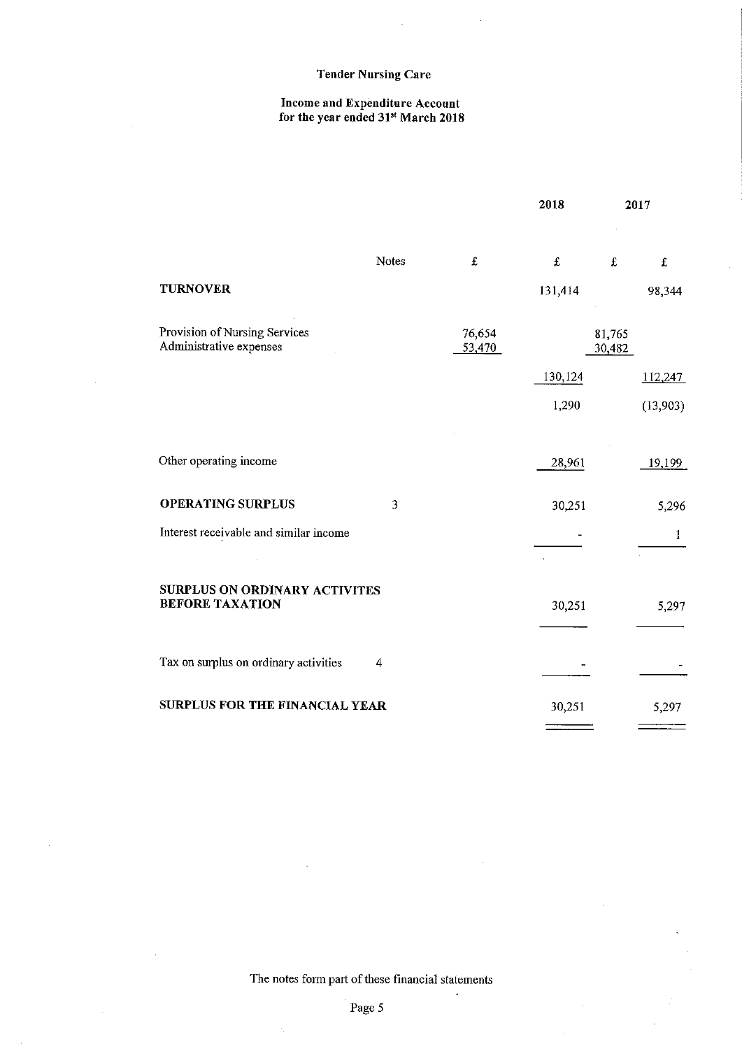#### Income and Expenditure Account for the year ended 31st March 2018

|                                                          |       |                  | 2018    | 2017             |             |
|----------------------------------------------------------|-------|------------------|---------|------------------|-------------|
|                                                          | Notes | £                | £       | £                | $\mathbf f$ |
| <b>TURNOVER</b>                                          |       |                  | 131,414 |                  | 98,344      |
| Provision of Nursing Services<br>Administrative expenses |       | 76,654<br>53,470 |         | 81,765<br>30,482 |             |
|                                                          |       |                  | 130,124 |                  | 112.247     |
|                                                          |       |                  | 1,290   |                  | (13,903)    |
| Other operating income                                   |       |                  | 28,961  |                  | 19,199      |
| <b>OPERATING SURPLUS</b>                                 | 3     |                  | 30,251  |                  | 5,296       |
| Interest receivable and similar income                   |       |                  |         |                  | 1           |
| SURPLUS ON ORDINARY ACTIVITES<br><b>BEFORE TAXATION</b>  |       |                  | 30,251  |                  | 5,297       |
| Tax on surplus on ordinary activities                    | 4     |                  |         |                  |             |
| SURPLUS FOR THE FINANCIAL YEAR                           |       |                  | 30,251  |                  | 5,297       |

The notes form part of these financial statements

l,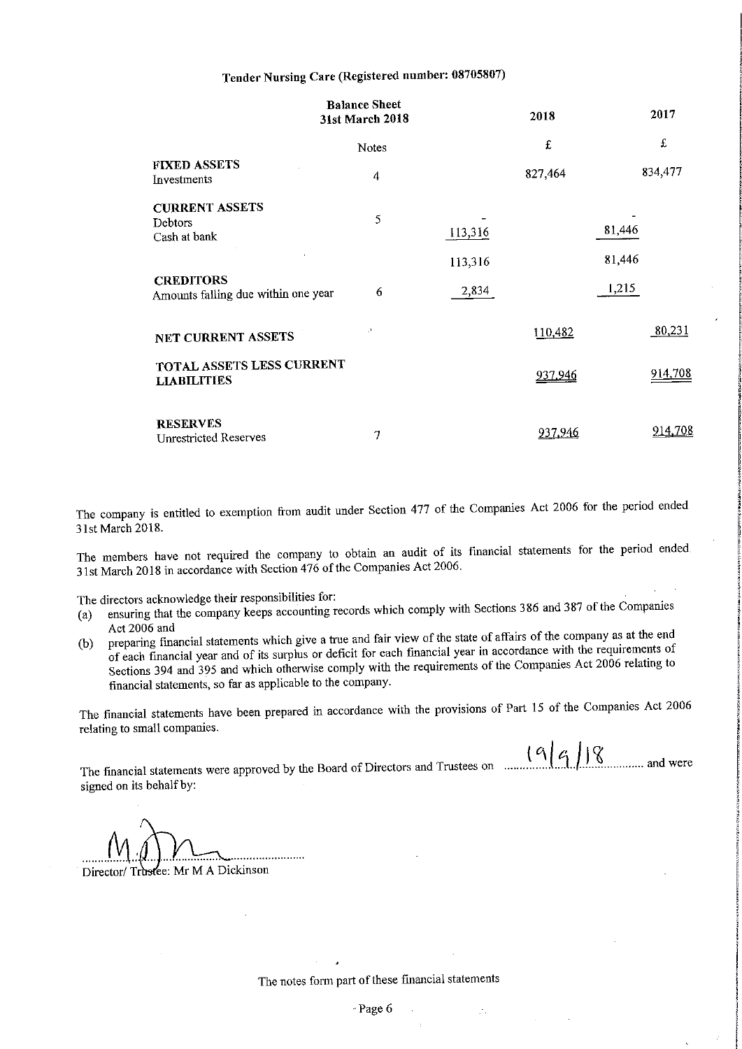# Tender Nursing Care (Registered number: 08705807)

|                                                         | <b>Balance Sheet</b><br>31st March 2018 |         | 2018    | 2017    |
|---------------------------------------------------------|-----------------------------------------|---------|---------|---------|
|                                                         | Notes                                   |         | £       | £       |
| <b>FIXED ASSETS</b><br>Investments                      | 4                                       |         | 827,464 | 834,477 |
| <b>CURRENT ASSETS</b><br>Debtors<br>Cash at bank        | 5                                       | 113,316 |         | 81,446  |
|                                                         |                                         | 113,316 |         | 81,446  |
| <b>CREDITORS</b><br>Amounts falling due within one year | 6                                       | 2,834   |         | 1,215   |
| NET CURRENT ASSETS                                      | J.                                      |         | 110,482 | 80,231  |
| TOTAL ASSETS LESS CURRENT<br><b>LIABILITIES</b>         |                                         |         | 937,946 | 914,708 |
| <b>RESERVES</b><br><b>Unrestricted Reserves</b>         | 7                                       |         | 937,946 | 914,708 |

The company is entitled to exemption fiom audit under Section <sup>477</sup> of the Companies Act <sup>2006</sup> for the period ended 31st March 2018.

The members have not required the company to obtain an audit of its financial statements for the period ended 31st March <sup>2018</sup> in accordance with Section <sup>476</sup> ofthe Companies Act 2006.

The directors acknowledge their responsibilities for:

- (a) ensuring that the company keeps accounting records which comply with Sections 386 and 387 of the Companies<br>Act 2006 and
- Act 2006 and<br>(b) preparing financial statements which give a true and fair view of the state of affairs of the company as at the end<br>end of the statements of the statements of the state of affairs are in accordance with th of each financial year and of its surplus or deficit for each fmancial year in accordance with the requirements of Sections <sup>394</sup> and <sup>395</sup> and which otherwise comply with the requirements of the Companies Act <sup>2006</sup> relating to financial statements, so far as applicable to the company.

The financial statements have been prepared in accordance with the provisions of Part <sup>15</sup> of the Companies Act <sup>2006</sup> relating to small companies.

 $(9)$   $4$  J  $\%$  and were The financial statements were approved by the Board of Directors and Trustees on ...... signed on its behalf by:

Director/ Trustee: Mr M A Dickinson

The notes form part of these financial statements

 $\mathcal{F}_\mathcal{F}$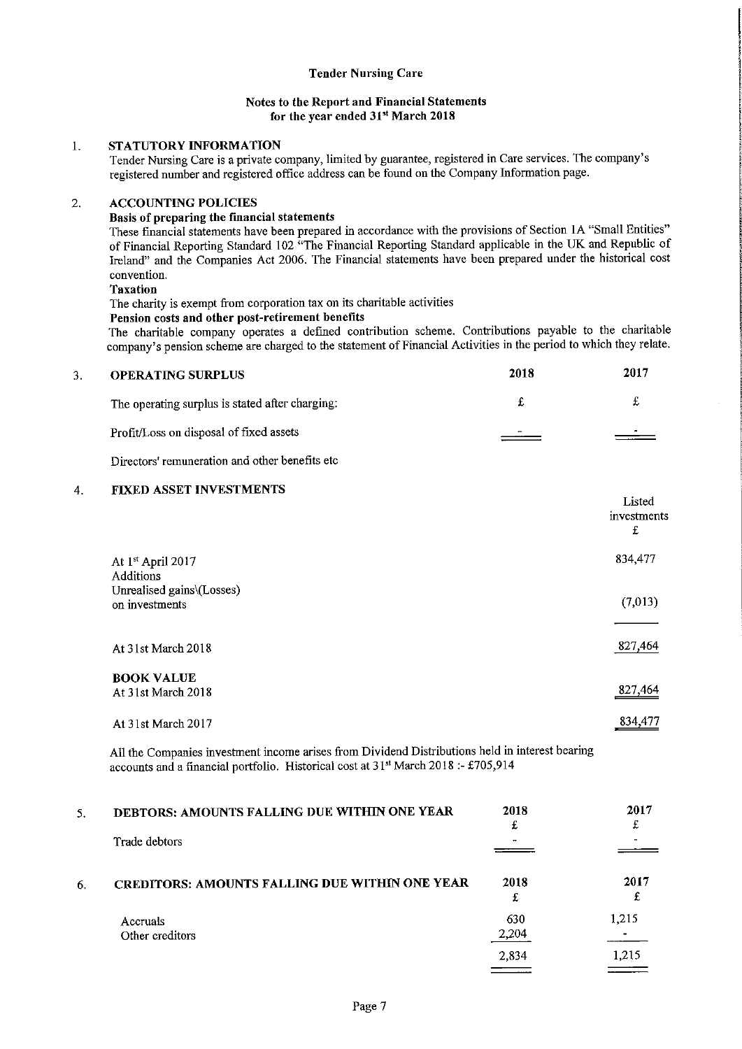#### Notes to the Report and Financial Statements for the year ended 31st March 2018

## 1. STATUTORY INFORMATION

Tender Nursing Care is a private company, limited by guarantee, registered in Care services. The company's registered number and registered office address can be found on the Company Information page.

#### **ACCOUNTING POLICIES**  $\overline{2}$

#### Basis of preparing the financial statements

These financial statements have been prepared in accordance with the provisions of Section IA "Small Entities" of Financial Reporting Standard 102 "The Financial Reporting Standard applicable in the UK and Republic of Ireland" and the Companies Act 2006. The Financial statements have been prepared under the historical cost convention.

#### Taxation

The charity is exempt from corporation tax on its charitable activities

#### Peasion costs and other post-retirement benefits

The charitable company operates a defined contribution scheme. Contributions payable to the charitable company's pension scheme are charged to the statement of Financial Activities in the period to which they relate.

| 3. | <b>OPERATING SURPLUS</b>                        | 2018                     | 2017 |
|----|-------------------------------------------------|--------------------------|------|
|    | The operating surplus is stated after charging: |                          |      |
|    | Profit/Loss on disposal of fixed assets         | $\overline{\phantom{a}}$ |      |

Directors' remuneration and other benefits etc

#### 4. FIXED ASSET INVESTMENTS

|                                                   | Listed<br>investments<br>£ |
|---------------------------------------------------|----------------------------|
| At 1 <sup>st</sup> April 2017<br><b>Additions</b> | 834,477                    |
| Unrealised gains\(Losses)<br>on investments       | (7,013)                    |
| At 31st March 2018                                | 827,464                    |
| <b>BOOK VALUE</b><br>At 31st March 2018           | 827,464                    |
| At 31st March 2017                                | 834,477                    |

All the Companies investment income arises from Dividend Distributions held in interest bearing accounts and a financial portfolio. Historical cost at 31st March 2018: - £705,914

| 5. | DEBTORS: AMOUNTS FALLING DUE WITHIN ONE YEAR          | 2018<br>£    | 2017  |
|----|-------------------------------------------------------|--------------|-------|
|    | Trade debtors                                         |              |       |
| 6. | <b>CREDITORS: AMOUNTS FALLING DUE WITHIN ONE YEAR</b> | 2018<br>£    | 2017  |
|    | Accruals<br>Other creditors                           | 630<br>2,204 | 1.215 |
|    |                                                       | 2,834        | 1,215 |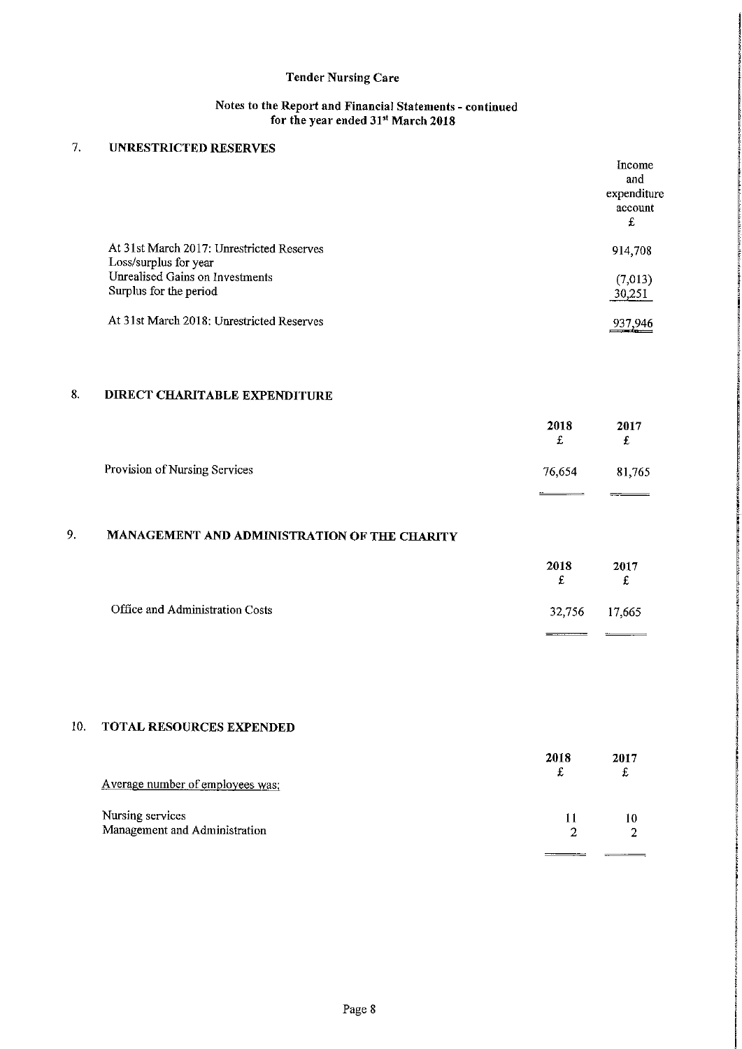### Notes to the Report and Financial Statements - continued for the year ended 31st March 2018

#### $\overline{7}$ . UNRESTRICTED RESERVES

|                                                                    | Income<br>and<br>expenditure<br>account<br>£ |
|--------------------------------------------------------------------|----------------------------------------------|
| At 31st March 2017: Unrestricted Reserves<br>Loss/surplus for year | 914,708                                      |
| Unrealised Gains on Investments<br>Surplus for the period          | (7,013)<br>30,251                            |
| At 31st March 2018: Unrestricted Reserves                          | 937.946                                      |

# 8. DIRECT CHARITABLE EXPENDITURE

|                               | 2018<br>£ | 2017   |
|-------------------------------|-----------|--------|
| Provision of Nursing Services | 76,654    | 81,765 |
|                               |           |        |

# 9. MANAGEMENT AND ADMINISTRATION OF THE CHARITY

|                                 | 2018<br>£ | 2017<br>£     |
|---------------------------------|-----------|---------------|
| Office and Administration Costs |           | 32,756 17,665 |
|                                 |           |               |

# 10. TOTAL RESOURCES EXPENDED

|                                  | 2018 | 2017 |
|----------------------------------|------|------|
| Average number of employees was: |      |      |
| Nursing services                 |      | 10   |
| Management and Administration    |      |      |
|                                  |      |      |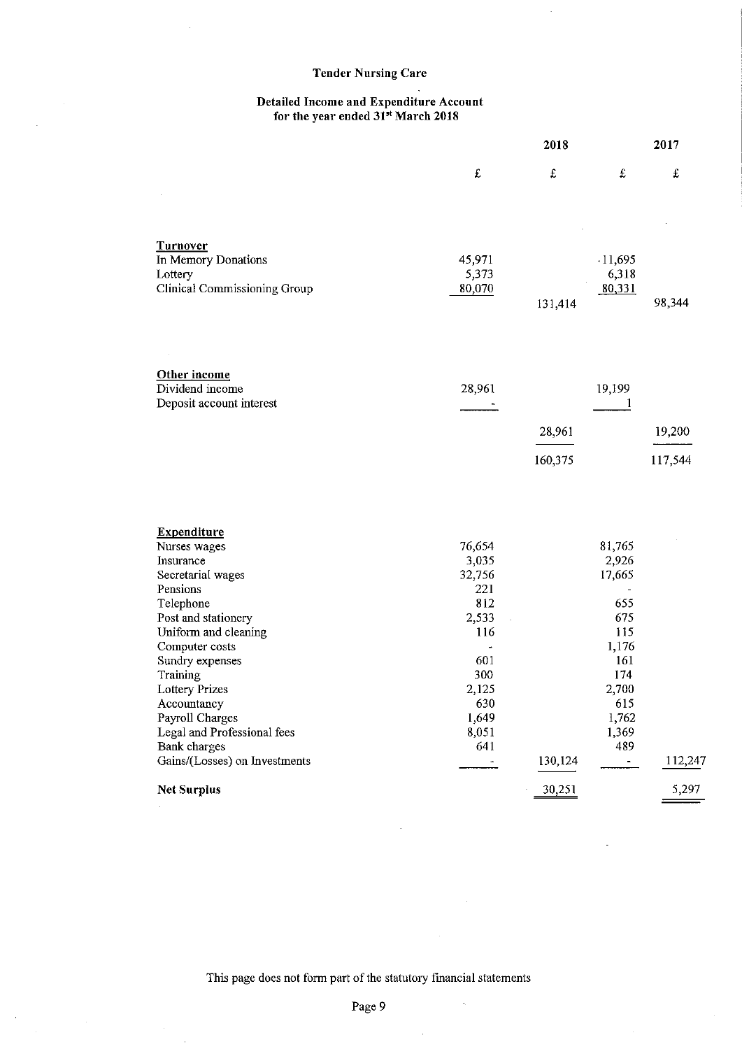#### Detailed Income and Expenditure Account for the year ended 31st March 2018

|                                         | 2018            |         |                    | 2017      |  |
|-----------------------------------------|-----------------|---------|--------------------|-----------|--|
|                                         | £               | £       | $\mathbf f$        | $\pounds$ |  |
| <b>Turnover</b>                         |                 |         |                    |           |  |
| In Memory Donations                     | 45,971<br>5,373 |         | $-11,695$<br>6,318 |           |  |
| Lottery<br>Clinical Commissioning Group | 80,070          |         | 80,331             |           |  |
|                                         |                 | 131,414 |                    | 98,344    |  |
| Other income<br>Dividend income         | 28,961          |         | 19,199             |           |  |
| Deposit account interest                |                 |         | 1                  |           |  |
|                                         |                 | 28,961  |                    | 19,200    |  |
|                                         |                 | 160,375 |                    | 117,544   |  |
| <b>Expenditure</b>                      |                 |         |                    |           |  |
| Nurses wages                            | 76,654          |         | 81,765             |           |  |
| Insurance                               | 3,035           |         | 2,926              |           |  |
| Secretarial wages                       | 32,756          |         | 17,665             |           |  |
| Pensions                                | 221             |         |                    |           |  |
| Telephone                               | 812             |         | 655                |           |  |
| Post and stationery                     | 2,533           |         | 675                |           |  |
| Uniform and cleaning                    | 116             |         | 115<br>1,176       |           |  |
| Computer costs<br>Sundry expenses       | 601             |         | 161                |           |  |
| Training                                | 300             |         | 174                |           |  |
| Lottery Prizes                          | 2,125           |         | 2,700              |           |  |
| Accountancy                             | 630             |         | 615                |           |  |
| Payroll Charges                         | 1,649           |         | 1,762              |           |  |
| Legal and Professional fees             | 8,051           |         | 1,369              |           |  |
| <b>Bank</b> charges                     | 641             |         | 489                |           |  |
| Gains/(Losses) on Investments           |                 | 130,124 |                    | 112,247   |  |
| <b>Net Surplus</b>                      |                 | 30,251  |                    | 5,297     |  |

This page does not form part of the statutory financial statements

 $\bar{z}$